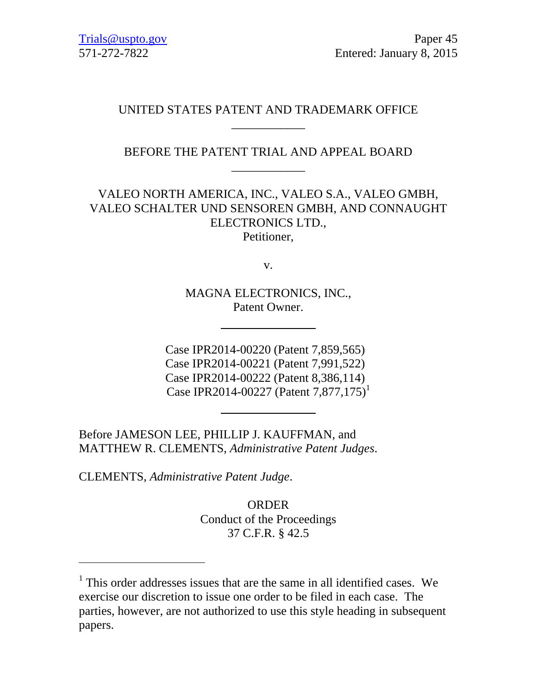## UNITED STATES PATENT AND TRADEMARK OFFICE \_\_\_\_\_\_\_\_\_\_\_\_

## BEFORE THE PATENT TRIAL AND APPEAL BOARD \_\_\_\_\_\_\_\_\_\_\_\_

# VALEO NORTH AMERICA, INC., VALEO S.A., VALEO GMBH, VALEO SCHALTER UND SENSOREN GMBH, AND CONNAUGHT ELECTRONICS LTD.,

Petitioner,

v.

MAGNA ELECTRONICS, INC., Patent Owner.

Case IPR2014-00220 (Patent 7,859,565) Case IPR2014-00221 (Patent 7,991,522) Case IPR2014-00222 (Patent 8,386,114) Case IPR2014-00227 (Patent 7,877,175)<sup>1</sup>

Before JAMESON LEE, PHILLIP J. KAUFFMAN, and MATTHEW R. CLEMENTS, *Administrative Patent Judges*.

CLEMENTS, *Administrative Patent Judge*.

 $\overline{a}$ 

ORDER Conduct of the Proceedings 37 C.F.R. § 42.5

<sup>&</sup>lt;sup>1</sup> This order addresses issues that are the same in all identified cases. We exercise our discretion to issue one order to be filed in each case. The parties, however, are not authorized to use this style heading in subsequent papers.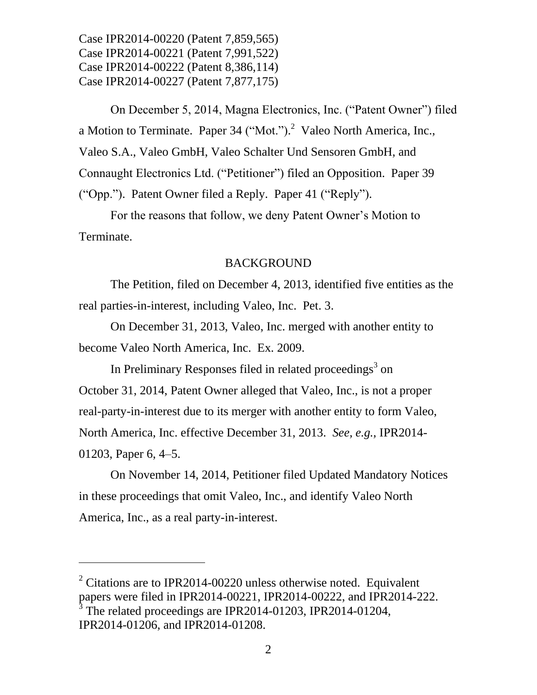On December 5, 2014, Magna Electronics, Inc. ("Patent Owner") filed a Motion to Terminate. Paper 34 ("Mot.").<sup>2</sup> Valeo North America, Inc., Valeo S.A., Valeo GmbH, Valeo Schalter Und Sensoren GmbH, and Connaught Electronics Ltd. ("Petitioner") filed an Opposition. Paper 39 ("Opp."). Patent Owner filed a Reply. Paper 41 ("Reply").

For the reasons that follow, we deny Patent Owner's Motion to Terminate.

### BACKGROUND

The Petition, filed on December 4, 2013, identified five entities as the real parties-in-interest, including Valeo, Inc. Pet. 3.

On December 31, 2013, Valeo, Inc. merged with another entity to become Valeo North America, Inc. Ex. 2009.

In Preliminary Responses filed in related proceedings<sup>3</sup> on October 31, 2014, Patent Owner alleged that Valeo, Inc., is not a proper real-party-in-interest due to its merger with another entity to form Valeo, North America, Inc. effective December 31, 2013. *See, e.g.,* IPR2014- 01203, Paper 6, 4–5.

On November 14, 2014, Petitioner filed Updated Mandatory Notices in these proceedings that omit Valeo, Inc., and identify Valeo North America, Inc., as a real party-in-interest.

<sup>2</sup> Citations are to IPR2014-00220 unless otherwise noted. Equivalent papers were filed in IPR2014-00221, IPR2014-00222, and IPR2014-222. <sup>3</sup> The related proceedings are IPR2014-01203, IPR2014-01204,

 $\overline{a}$ 

IPR2014-01206, and IPR2014-01208.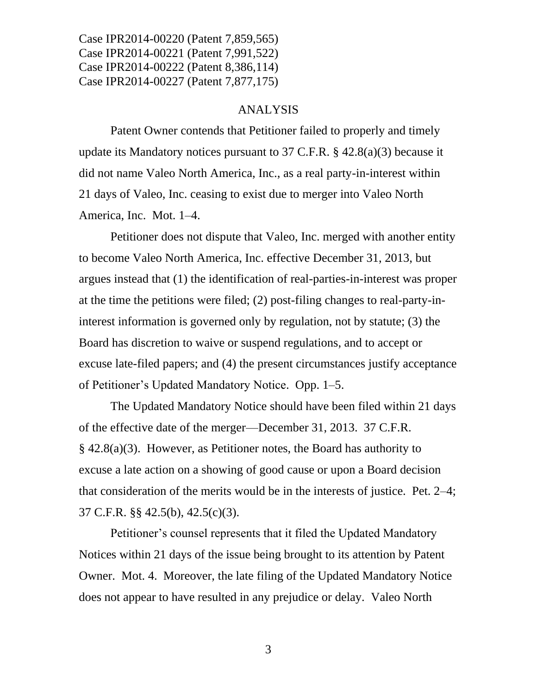#### ANALYSIS

Patent Owner contends that Petitioner failed to properly and timely update its Mandatory notices pursuant to 37 C.F.R.  $\S$  42.8(a)(3) because it did not name Valeo North America, Inc., as a real party-in-interest within 21 days of Valeo, Inc. ceasing to exist due to merger into Valeo North America, Inc. Mot. 1–4.

Petitioner does not dispute that Valeo, Inc. merged with another entity to become Valeo North America, Inc. effective December 31, 2013, but argues instead that (1) the identification of real-parties-in-interest was proper at the time the petitions were filed; (2) post-filing changes to real-party-ininterest information is governed only by regulation, not by statute; (3) the Board has discretion to waive or suspend regulations, and to accept or excuse late-filed papers; and (4) the present circumstances justify acceptance of Petitioner's Updated Mandatory Notice. Opp. 1–5.

The Updated Mandatory Notice should have been filed within 21 days of the effective date of the merger—December 31, 2013. 37 C.F.R. § 42.8(a)(3). However, as Petitioner notes, the Board has authority to excuse a late action on a showing of good cause or upon a Board decision that consideration of the merits would be in the interests of justice. Pet. 2–4; 37 C.F.R. §§ 42.5(b), 42.5(c)(3).

Petitioner's counsel represents that it filed the Updated Mandatory Notices within 21 days of the issue being brought to its attention by Patent Owner. Mot. 4. Moreover, the late filing of the Updated Mandatory Notice does not appear to have resulted in any prejudice or delay. Valeo North

3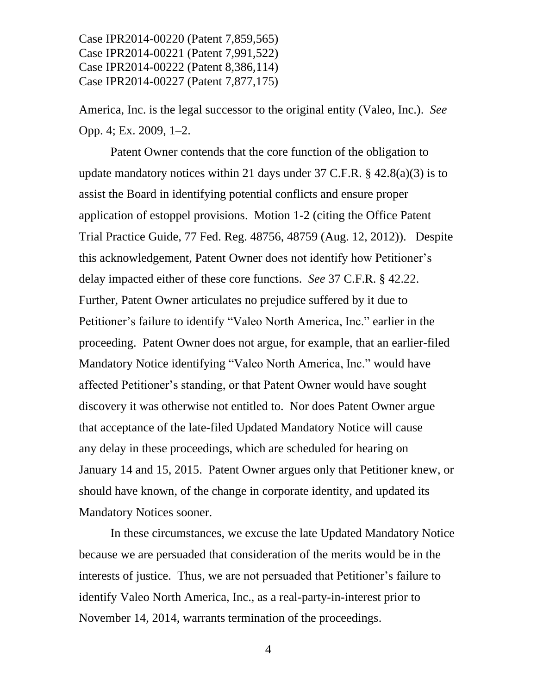America, Inc. is the legal successor to the original entity (Valeo, Inc.). *See* Opp. 4; Ex. 2009, 1–2.

Patent Owner contends that the core function of the obligation to update mandatory notices within 21 days under 37 C.F.R.  $\S$  42.8(a)(3) is to assist the Board in identifying potential conflicts and ensure proper application of estoppel provisions. Motion 1-2 (citing the Office Patent Trial Practice Guide, 77 Fed. Reg. 48756, 48759 (Aug. 12, 2012)). Despite this acknowledgement, Patent Owner does not identify how Petitioner's delay impacted either of these core functions. *See* 37 C.F.R. § 42.22. Further, Patent Owner articulates no prejudice suffered by it due to Petitioner's failure to identify "Valeo North America, Inc." earlier in the proceeding. Patent Owner does not argue, for example, that an earlier-filed Mandatory Notice identifying "Valeo North America, Inc." would have affected Petitioner's standing, or that Patent Owner would have sought discovery it was otherwise not entitled to. Nor does Patent Owner argue that acceptance of the late-filed Updated Mandatory Notice will cause any delay in these proceedings, which are scheduled for hearing on January 14 and 15, 2015. Patent Owner argues only that Petitioner knew, or should have known, of the change in corporate identity, and updated its Mandatory Notices sooner.

In these circumstances, we excuse the late Updated Mandatory Notice because we are persuaded that consideration of the merits would be in the interests of justice. Thus, we are not persuaded that Petitioner's failure to identify Valeo North America, Inc., as a real-party-in-interest prior to November 14, 2014, warrants termination of the proceedings.

4